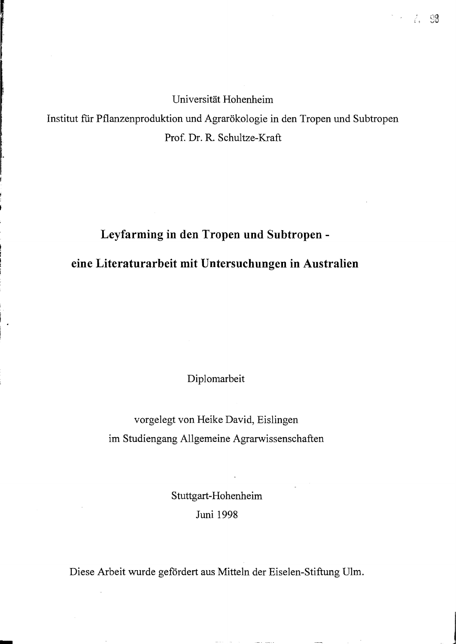Universität Hohenheim

 $\stackrel{*}{\ell}_*=\mathbb{S}$ 

Institut für Pflanzenproduktion und Agrarökologie in den Tropen und Subtropen Prof. Dr. R. Schultze-Kraft

## **Leyfarming in den Tropen und Subtropen eine Literaturarbeit mit Untersuchungen in Australien**

Diplomarbeit

vorgelegt von Heike David, Eislingen im Studiengang Allgemeine Agrarwissenschaften

> Stuttgart-Hohenheim Juni 1998

Diese Arbeit wurde gefordert aus Mitteln der Eiselen-Stiftung Ulm.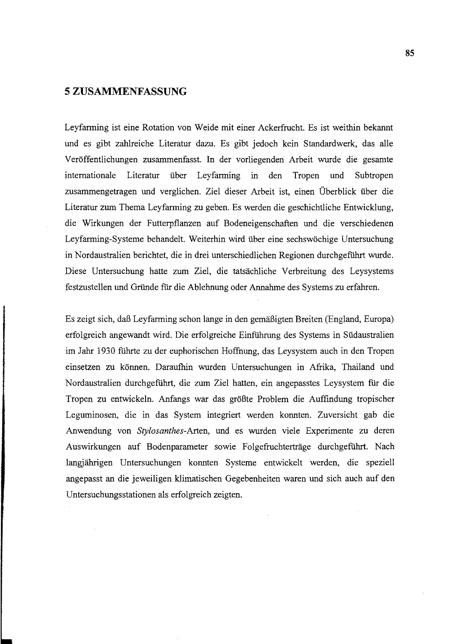## **5 ZUSAMMENFASSUNG**

Leyfarming ist eine Rotation von Weide mit einer Ackerfrucht. Es ist weithin bekannt und es gibt zahlreiche Literatur dazu. Es gibt jedoch kein Standardwerk, das alle Veröffentlichungen zusammenfasst. In der vorliegenden Arbeit wurde die gesamte internationale Literatur über Leyfarming in den Tropen und Subtropen zusammengetragen und verglichen. Ziel dieser Arbeit ist, einen Überblick über die Literatur zum Thema Leyfarming zu geben. Es werden die geschichtliche Entwicklung, die Wirkungen der Futterpflanzen auf Bodeneigenschaften und die verschiedenen Leyfarming-Systeme behandelt. Weiterhin wird über eine sechswöchige Untersuchung in Nordaustralien berichtet, die in drei unterschiedlichen Regionen durchgeführt wurde. Diese Untersuchung hatte zum Ziel, die tatsächliche Verbreitung des Leysystems festzustellen und Gründe für die Ablehnung oder Annahme des Systems zu erfahren.

Es zeigt sich, daß Leyfarming schon lange in den gemäßigten Breiten (England, Europa) erfolgreich angewandt wird. Die erfolgreiche Einfiihrung des Systems in Südaustralien im Jahr 1930 führte zu der euphorischen Hoffnung, das Leysystem auch in den Tropen einsetzen zu können. Daraufhin wurden Untersuchungen in Afrika, Thailand und Nordaustralien durchgeführt, die zum Ziel hatten, ein angepasstes Leysystem für die Tropen zu entwickeln. Anfangs war das größte Problem die Auffindung tropischer Leguminosen, die in das System integriert werden konnten. Zuversicht gab die Anwendung von *Stylosanthes-Arten,* und es wurden viele Experimente zu deren Auswirkungen auf Bodenparameter sowie Folgefruchterträge durchgeführt. Nach langjährigen Untersuchungen konnten Systeme entwickelt werden, die speziell angepasst an die jeweiligen klimatischen Gegebenheiten waren und sich auch auf den Untersuchungsstationen als erfolgreich zeigten.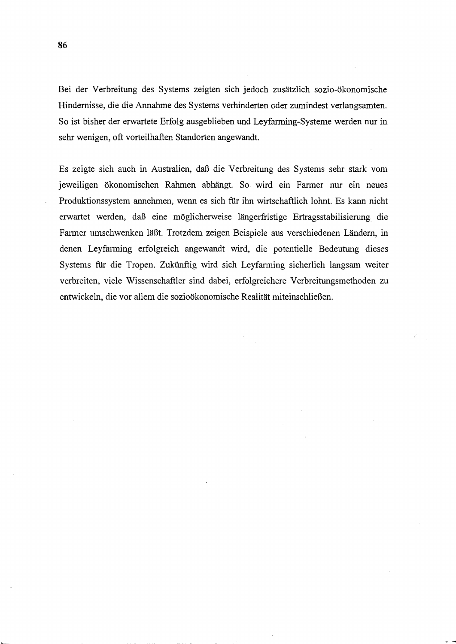Bei der Verbreitung des Systems zeigten sich jedoch zusätzlich sozio-ökonomische Hindernisse, die die Annahme des Systems verhinderten oder zumindest verlangsamten. So ist bisher der erwartete Erfolg ausgeblieben und Leyfarming-Systeme werden nur in sehr wenigen, oft vorteilhaften Standorten angewandt.

Es zeigte sich auch in Australien, daß die Verbreitung des Systems sehr stark vom jeweiligen ökonomischen Rahmen abhängt. So wird ein Farmer nur ein neues Produktionssystem annehmen, wenn es sich für ihn wirtschaftlich lohnt. Es kann nicht erwartet werden, daß eine möglicherweise längerfristige Ertragsstabilisierung die Farmer umschwenken läßt. Trotzdem zeigen Beispiele aus verschiedenen Ländern, in denen Leyfarming erfolgreich angewandt wird, die potentielle Bedeutung dieses Systems für die Tropen. Zukünftig wird sich Leyfarming sicherlich langsam weiter verbreiten, viele Wissenschaftler sind dabei, erfolgreichere Verbreitungsmethoden zu entwickeln, die vor allem die sozioökonomische Realität miteinschließen.